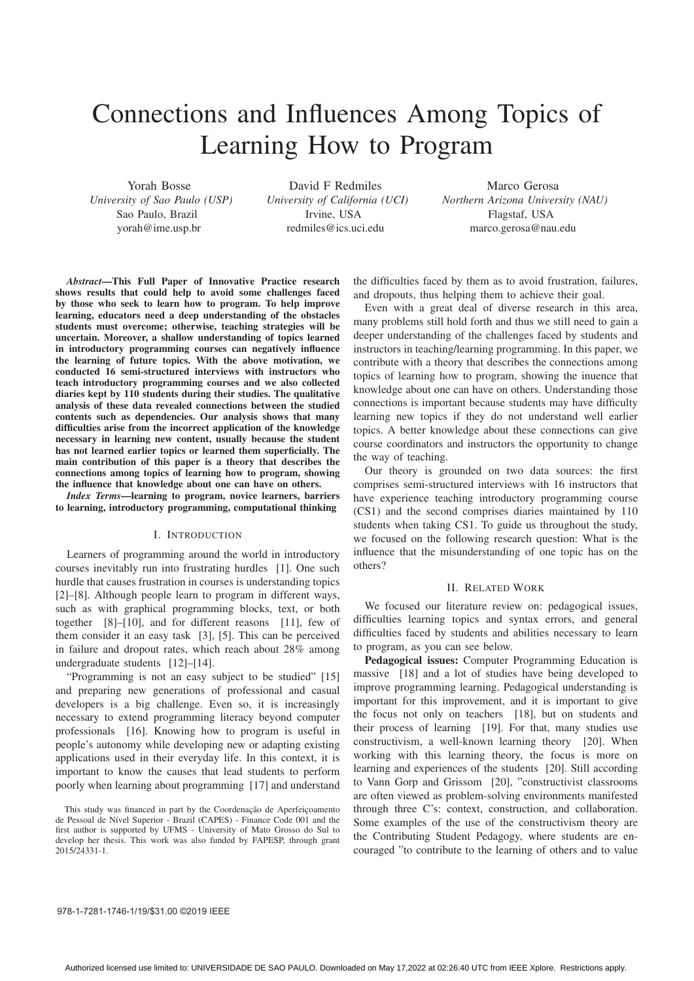# Connections and Influences Among Topics of Learning How to Program

Yorah Bosse *University of Sao Paulo (USP)* Sao Paulo, Brazil yorah@ime.usp.br

David F Redmiles *University of California (UCI)* Irvine, USA redmiles@ics.uci.edu

Marco Gerosa *Northern Arizona University (NAU)* Flagstaf, USA marco.gerosa@nau.edu

*Abstract***—This Full Paper of Innovative Practice research shows results that could help to avoid some challenges faced by those who seek to learn how to program. To help improve learning, educators need a deep understanding of the obstacles students must overcome; otherwise, teaching strategies will be uncertain. Moreover, a shallow understanding of topics learned in introductory programming courses can negatively influence the learning of future topics. With the above motivation, we conducted 16 semi-structured interviews with instructors who teach introductory programming courses and we also collected diaries kept by 110 students during their studies. The qualitative analysis of these data revealed connections between the studied contents such as dependencies. Our analysis shows that many difficulties arise from the incorrect application of the knowledge necessary in learning new content, usually because the student has not learned earlier topics or learned them superficially. The main contribution of this paper is a theory that describes the connections among topics of learning how to program, showing the influence that knowledge about one can have on others.**

*Index Terms***—learning to program, novice learners, barriers to learning, introductory programming, computational thinking**

## I. INTRODUCTION

Learners of programming around the world in introductory courses inevitably run into frustrating hurdles [1]. One such hurdle that causes frustration in courses is understanding topics [2]–[8]. Although people learn to program in different ways, such as with graphical programming blocks, text, or both together [8]–[10], and for different reasons [11], few of them consider it an easy task [3], [5]. This can be perceived in failure and dropout rates, which reach about 28% among undergraduate students [12]–[14].

"Programming is not an easy subject to be studied" [15] and preparing new generations of professional and casual developers is a big challenge. Even so, it is increasingly necessary to extend programming literacy beyond computer professionals [16]. Knowing how to program is useful in people's autonomy while developing new or adapting existing applications used in their everyday life. In this context, it is important to know the causes that lead students to perform poorly when learning about programming [17] and understand

the difficulties faced by them as to avoid frustration, failures, and dropouts, thus helping them to achieve their goal.

Even with a great deal of diverse research in this area, many problems still hold forth and thus we still need to gain a deeper understanding of the challenges faced by students and instructors in teaching/learning programming. In this paper, we contribute with a theory that describes the connections among topics of learning how to program, showing the inuence that knowledge about one can have on others. Understanding those connections is important because students may have difficulty learning new topics if they do not understand well earlier topics. A better knowledge about these connections can give course coordinators and instructors the opportunity to change the way of teaching.

Our theory is grounded on two data sources: the first comprises semi-structured interviews with 16 instructors that have experience teaching introductory programming course (CS1) and the second comprises diaries maintained by 110 students when taking CS1. To guide us throughout the study, we focused on the following research question: What is the influence that the misunderstanding of one topic has on the others?

## II. RELATED WORK

We focused our literature review on: pedagogical issues, difficulties learning topics and syntax errors, and general difficulties faced by students and abilities necessary to learn to program, as you can see below.

**Pedagogical issues:** Computer Programming Education is massive [18] and a lot of studies have being developed to improve programming learning. Pedagogical understanding is important for this improvement, and it is important to give the focus not only on teachers [18], but on students and their process of learning [19]. For that, many studies use constructivism, a well-known learning theory [20]. When working with this learning theory, the focus is more on learning and experiences of the students [20]. Still according to Vann Gorp and Grissom [20], "constructivist classrooms are often viewed as problem-solving environments manifested through three C's: context, construction, and collaboration. Some examples of the use of the constructivism theory are the Contributing Student Pedagogy, where students are encouraged "to contribute to the learning of others and to value

This study was financed in part by the Coordenação de Aperfeiçoamento de Pessoal de Nível Superior - Brazil (CAPES) - Finance Code 001 and the first author is supported by UFMS - University of Mato Grosso do Sul to develop her thesis. This work was also funded by FAPESP, through grant 2015/24331-1.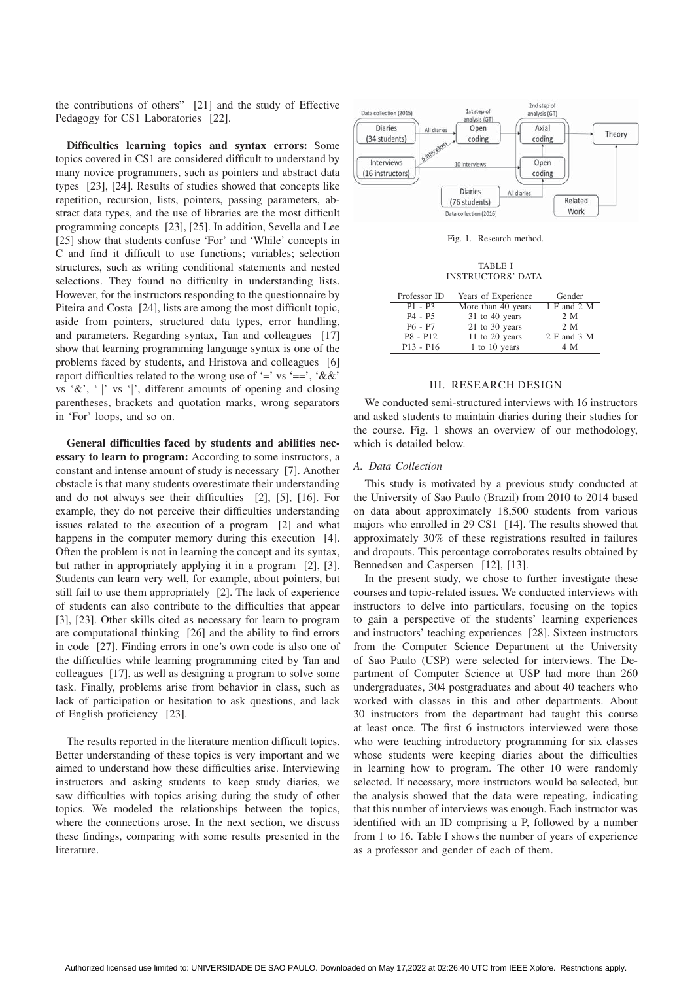the contributions of others" [21] and the study of Effective Pedagogy for CS1 Laboratories [22].

**Difficulties learning topics and syntax errors:** Some topics covered in CS1 are considered difficult to understand by many novice programmers, such as pointers and abstract data types [23], [24]. Results of studies showed that concepts like repetition, recursion, lists, pointers, passing parameters, abstract data types, and the use of libraries are the most difficult programming concepts [23], [25]. In addition, Sevella and Lee [25] show that students confuse 'For' and 'While' concepts in C and find it difficult to use functions; variables; selection structures, such as writing conditional statements and nested selections. They found no difficulty in understanding lists. However, for the instructors responding to the questionnaire by Piteira and Costa [24], lists are among the most difficult topic, aside from pointers, structured data types, error handling, and parameters. Regarding syntax, Tan and colleagues [17] show that learning programming language syntax is one of the problems faced by students, and Hristova and colleagues [6] report difficulties related to the wrong use of '=' vs '==', ' $\&&$ ' vs '&', '||' vs '|', different amounts of opening and closing parentheses, brackets and quotation marks, wrong separators in 'For' loops, and so on.

**General difficulties faced by students and abilities necessary to learn to program:** According to some instructors, a constant and intense amount of study is necessary [7]. Another obstacle is that many students overestimate their understanding and do not always see their difficulties [2], [5], [16]. For example, they do not perceive their difficulties understanding issues related to the execution of a program [2] and what happens in the computer memory during this execution [4]. Often the problem is not in learning the concept and its syntax, but rather in appropriately applying it in a program [2], [3]. Students can learn very well, for example, about pointers, but still fail to use them appropriately [2]. The lack of experience of students can also contribute to the difficulties that appear [3], [23]. Other skills cited as necessary for learn to program are computational thinking [26] and the ability to find errors in code [27]. Finding errors in one's own code is also one of the difficulties while learning programming cited by Tan and colleagues [17], as well as designing a program to solve some task. Finally, problems arise from behavior in class, such as lack of participation or hesitation to ask questions, and lack of English proficiency [23].

The results reported in the literature mention difficult topics. Better understanding of these topics is very important and we aimed to understand how these difficulties arise. Interviewing instructors and asking students to keep study diaries, we saw difficulties with topics arising during the study of other topics. We modeled the relationships between the topics, where the connections arose. In the next section, we discuss these findings, comparing with some results presented in the literature.



Fig. 1. Research method.

TABLE I INSTRUCTORS' DATA.

| Professor ID | Years of Experience | Gender      |
|--------------|---------------------|-------------|
| $P1 - P3$    | More than 40 years  | 1 F and 2 M |
| $P4 - P5$    | 31 to 40 years      | 2 M         |
| $P6 - P7$    | 21 to 30 years      | 2 M         |
| $P8 - P12$   | 11 to 20 years      | 2 F and 3 M |
| $P13 - P16$  | 1 to 10 years       | 4 M         |

## III. RESEARCH DESIGN

We conducted semi-structured interviews with 16 instructors and asked students to maintain diaries during their studies for the course. Fig. 1 shows an overview of our methodology, which is detailed below.

## *A. Data Collection*

This study is motivated by a previous study conducted at the University of Sao Paulo (Brazil) from 2010 to 2014 based on data about approximately 18,500 students from various majors who enrolled in 29 CS1 [14]. The results showed that approximately 30% of these registrations resulted in failures and dropouts. This percentage corroborates results obtained by Bennedsen and Caspersen [12], [13].

In the present study, we chose to further investigate these courses and topic-related issues. We conducted interviews with instructors to delve into particulars, focusing on the topics to gain a perspective of the students' learning experiences and instructors' teaching experiences [28]. Sixteen instructors from the Computer Science Department at the University of Sao Paulo (USP) were selected for interviews. The Department of Computer Science at USP had more than 260 undergraduates, 304 postgraduates and about 40 teachers who worked with classes in this and other departments. About 30 instructors from the department had taught this course at least once. The first 6 instructors interviewed were those who were teaching introductory programming for six classes whose students were keeping diaries about the difficulties in learning how to program. The other 10 were randomly selected. If necessary, more instructors would be selected, but the analysis showed that the data were repeating, indicating that this number of interviews was enough. Each instructor was identified with an ID comprising a P, followed by a number from 1 to 16. Table I shows the number of years of experience as a professor and gender of each of them.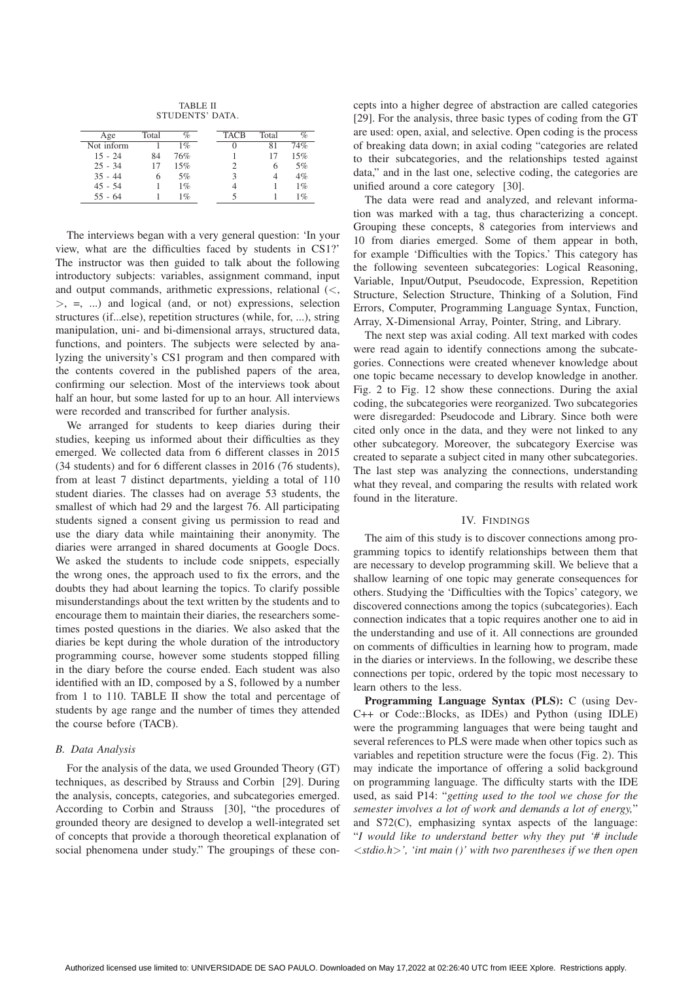TABLE II STUDENTS' DATA.

| Age        | Total | %     | TACB             | Total | $\%$  |
|------------|-------|-------|------------------|-------|-------|
| Not inform |       | $1\%$ | $\left( \right)$ | 81    | 74%   |
| $15 - 24$  | 84    | 76%   |                  | 17    | 15%   |
| $25 - 34$  | 17    | 15%   |                  | h     | 5%    |
| $35 - 44$  | h     | 5%    |                  |       | $4\%$ |
| $45 - 54$  |       | $1\%$ |                  |       | $1\%$ |
| $55 - 64$  |       | $1\%$ |                  |       | $1\%$ |

The interviews began with a very general question: 'In your view, what are the difficulties faced by students in CS1?' The instructor was then guided to talk about the following introductory subjects: variables, assignment command, input and output commands, arithmetic expressions, relational  $\langle \langle \cdot, \cdot \rangle$  $>$ ,  $=$ , ...) and logical (and, or not) expressions, selection structures (if...else), repetition structures (while, for, ...), string manipulation, uni- and bi-dimensional arrays, structured data, functions, and pointers. The subjects were selected by analyzing the university's CS1 program and then compared with the contents covered in the published papers of the area, confirming our selection. Most of the interviews took about half an hour, but some lasted for up to an hour. All interviews were recorded and transcribed for further analysis.

We arranged for students to keep diaries during their studies, keeping us informed about their difficulties as they emerged. We collected data from 6 different classes in 2015 (34 students) and for 6 different classes in 2016 (76 students), from at least 7 distinct departments, yielding a total of 110 student diaries. The classes had on average 53 students, the smallest of which had 29 and the largest 76. All participating students signed a consent giving us permission to read and use the diary data while maintaining their anonymity. The diaries were arranged in shared documents at Google Docs. We asked the students to include code snippets, especially the wrong ones, the approach used to fix the errors, and the doubts they had about learning the topics. To clarify possible misunderstandings about the text written by the students and to encourage them to maintain their diaries, the researchers sometimes posted questions in the diaries. We also asked that the diaries be kept during the whole duration of the introductory programming course, however some students stopped filling in the diary before the course ended. Each student was also identified with an ID, composed by a S, followed by a number from 1 to 110. TABLE II show the total and percentage of students by age range and the number of times they attended the course before (TACB).

## *B. Data Analysis*

For the analysis of the data, we used Grounded Theory (GT) techniques, as described by Strauss and Corbin [29]. During the analysis, concepts, categories, and subcategories emerged. According to Corbin and Strauss [30], "the procedures of grounded theory are designed to develop a well-integrated set of concepts that provide a thorough theoretical explanation of social phenomena under study." The groupings of these concepts into a higher degree of abstraction are called categories [29]. For the analysis, three basic types of coding from the GT are used: open, axial, and selective. Open coding is the process of breaking data down; in axial coding "categories are related to their subcategories, and the relationships tested against data," and in the last one, selective coding, the categories are unified around a core category [30].

The data were read and analyzed, and relevant information was marked with a tag, thus characterizing a concept. Grouping these concepts, 8 categories from interviews and 10 from diaries emerged. Some of them appear in both, for example 'Difficulties with the Topics.' This category has the following seventeen subcategories: Logical Reasoning, Variable, Input/Output, Pseudocode, Expression, Repetition Structure, Selection Structure, Thinking of a Solution, Find Errors, Computer, Programming Language Syntax, Function, Array, X-Dimensional Array, Pointer, String, and Library.

The next step was axial coding. All text marked with codes were read again to identify connections among the subcategories. Connections were created whenever knowledge about one topic became necessary to develop knowledge in another. Fig. 2 to Fig. 12 show these connections. During the axial coding, the subcategories were reorganized. Two subcategories were disregarded: Pseudocode and Library. Since both were cited only once in the data, and they were not linked to any other subcategory. Moreover, the subcategory Exercise was created to separate a subject cited in many other subcategories. The last step was analyzing the connections, understanding what they reveal, and comparing the results with related work found in the literature.

#### IV. FINDINGS

The aim of this study is to discover connections among programming topics to identify relationships between them that are necessary to develop programming skill. We believe that a shallow learning of one topic may generate consequences for others. Studying the 'Difficulties with the Topics' category, we discovered connections among the topics (subcategories). Each connection indicates that a topic requires another one to aid in the understanding and use of it. All connections are grounded on comments of difficulties in learning how to program, made in the diaries or interviews. In the following, we describe these connections per topic, ordered by the topic most necessary to learn others to the less.

**Programming Language Syntax (PLS):** C (using Dev-C++ or Code::Blocks, as IDEs) and Python (using IDLE) were the programming languages that were being taught and several references to PLS were made when other topics such as variables and repetition structure were the focus (Fig. 2). This may indicate the importance of offering a solid background on programming language. The difficulty starts with the IDE used, as said P14: "*getting used to the tool we chose for the semester involves a lot of work and demands a lot of energy,*" and S72(C), emphasizing syntax aspects of the language: "*I would like to understand better why they put '# include* <*stdio.h*>*', 'int main ()' with two parentheses if we then open*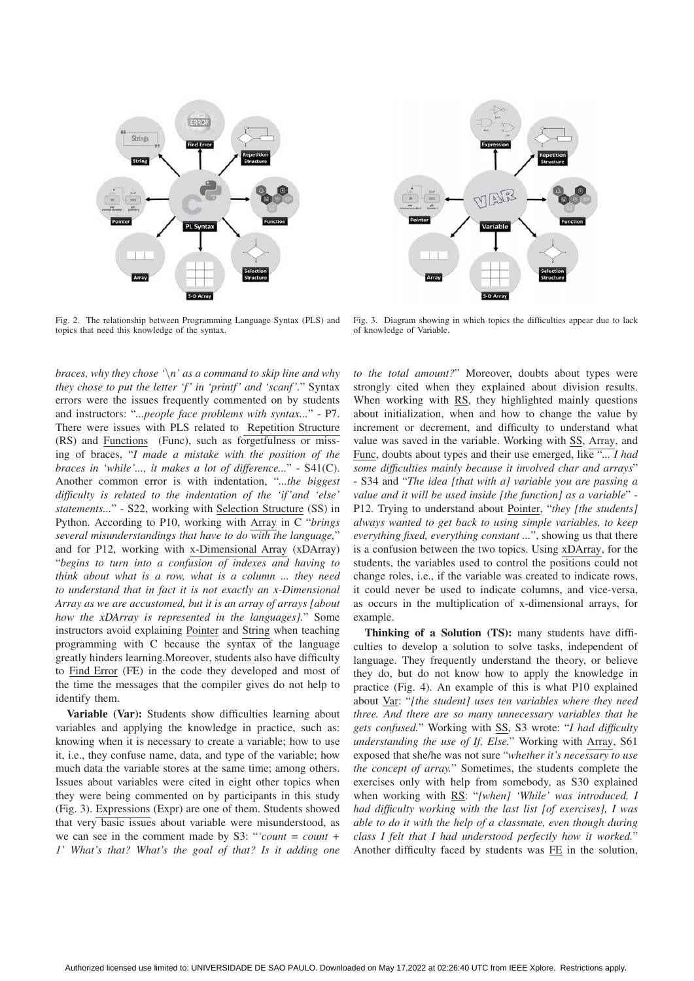

Fig. 2. The relationship between Programming Language Syntax (PLS) and topics that need this knowledge of the syntax.

*braces, why they chose '*\*n' as a command to skip line and why they chose to put the letter 'f' in 'printf' and 'scanf'."* Syntax errors were the issues frequently commented on by students and instructors: "*...people face problems with syntax...*" - P7. There were issues with PLS related to Repetition Structure (RS) and Functions (Func), such as forgetfulness or missing of braces, "*I made a mistake with the position of the braces in 'while'..., it makes a lot of difference...*" - S41(C). Another common error is with indentation, "*...the biggest difficulty is related to the indentation of the 'if 'and 'else' statements...*" - S22, working with Selection Structure (SS) in Python. According to P10, working with Array in C "*brings several misunderstandings that have to do with the language,*" and for P12, working with x-Dimensional Array (xDArray) "*begins to turn into a confusion of indexes and having to think about what is a row, what is a column ... they need to understand that in fact it is not exactly an x-Dimensional Array as we are accustomed, but it is an array of arrays [about how the xDArray is represented in the languages].*" Some instructors avoid explaining Pointer and String when teaching programming with C because the syntax of the language greatly hinders learning.Moreover, students also have difficulty to Find Error (FE) in the code they developed and most of the time the messages that the compiler gives do not help to identify them.

**Variable (Var):** Students show difficulties learning about variables and applying the knowledge in practice, such as: knowing when it is necessary to create a variable; how to use it, i.e., they confuse name, data, and type of the variable; how much data the variable stores at the same time; among others. Issues about variables were cited in eight other topics when they were being commented on by participants in this study (Fig. 3). Expressions (Expr) are one of them. Students showed that very basic issues about variable were misunderstood, as we can see in the comment made by S3: "*'count = count + 1' What's that? What's the goal of that? Is it adding one*



Fig. 3. Diagram showing in which topics the difficulties appear due to lack of knowledge of Variable.

*to the total amount?*" Moreover, doubts about types were strongly cited when they explained about division results. When working with RS, they highlighted mainly questions about initialization, when and how to change the value by increment or decrement, and difficulty to understand what value was saved in the variable. Working with SS, Array, and Func, doubts about types and their use emerged, like "*... I had some difficulties mainly because it involved char and arrays*" - S34 and "*The idea [that with a] variable you are passing a value and it will be used inside [the function] as a variable*" - P12. Trying to understand about Pointer, "*they [the students] always wanted to get back to using simple variables, to keep everything fixed, everything constant ...*", showing us that there is a confusion between the two topics. Using xDArray, for the students, the variables used to control the positions could not change roles, i.e., if the variable was created to indicate rows, it could never be used to indicate columns, and vice-versa, as occurs in the multiplication of x-dimensional arrays, for example.

**Thinking of a Solution (TS):** many students have difficulties to develop a solution to solve tasks, independent of language. They frequently understand the theory, or believe they do, but do not know how to apply the knowledge in practice (Fig. 4). An example of this is what P10 explained about Var: "*[the student] uses ten variables where they need three. And there are so many unnecessary variables that he gets confused.*" Working with SS, S3 wrote: "*I had difficulty understanding the use of If, Else.*" Working with Array, S61 exposed that she/he was not sure "*whether it's necessary to use the concept of array.*" Sometimes, the students complete the exercises only with help from somebody, as S30 explained when working with RS: "*[when] 'While' was introduced, I had difficulty working with the last list [of exercises], I was able to do it with the help of a classmate, even though during class I felt that I had understood perfectly how it worked.*" Another difficulty faced by students was FE in the solution,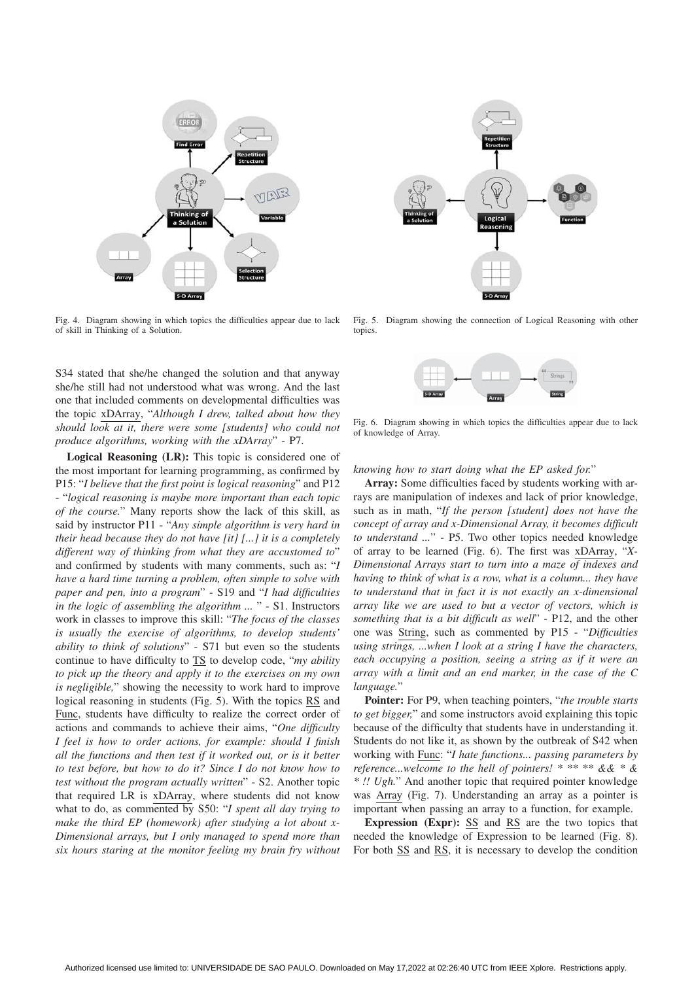

Fig. 4. Diagram showing in which topics the difficulties appear due to lack of skill in Thinking of a Solution.

S34 stated that she/he changed the solution and that anyway she/he still had not understood what was wrong. And the last one that included comments on developmental difficulties was the topic xDArray, "*Although I drew, talked about how they should look at it, there were some [students] who could not produce algorithms, working with the xDArray*" - P7.

**Logical Reasoning (LR):** This topic is considered one of the most important for learning programming, as confirmed by P15: "*I believe that the first point is logical reasoning*" and P12 - "*logical reasoning is maybe more important than each topic of the course.*" Many reports show the lack of this skill, as said by instructor P11 - "*Any simple algorithm is very hard in their head because they do not have [it] [...] it is a completely different way of thinking from what they are accustomed to*" and confirmed by students with many comments, such as: "*I have a hard time turning a problem, often simple to solve with paper and pen, into a program*" - S19 and "*I had difficulties in the logic of assembling the algorithm ...* " - S1. Instructors work in classes to improve this skill: "*The focus of the classes is usually the exercise of algorithms, to develop students' ability to think of solutions*" - S71 but even so the students continue to have difficulty to TS to develop code, "*my ability to pick up the theory and apply it to the exercises on my own is negligible,*" showing the necessity to work hard to improve logical reasoning in students (Fig. 5). With the topics RS and Func, students have difficulty to realize the correct order of actions and commands to achieve their aims, "*One difficulty I feel is how to order actions, for example: should I finish all the functions and then test if it worked out, or is it better to test before, but how to do it? Since I do not know how to test without the program actually written*" - S2. Another topic that required LR is xDArray, where students did not know what to do, as commented by S50: "*I spent all day trying to make the third EP (homework) after studying a lot about x-Dimensional arrays, but I only managed to spend more than six hours staring at the monitor feeling my brain fry without*



Fig. 5. Diagram showing the connection of Logical Reasoning with other topics.



Fig. 6. Diagram showing in which topics the difficulties appear due to lack of knowledge of Array.

*knowing how to start doing what the EP asked for.*"

**Array:** Some difficulties faced by students working with arrays are manipulation of indexes and lack of prior knowledge, such as in math, "*If the person [student] does not have the concept of array and x-Dimensional Array, it becomes difficult to understand ...*" - P5. Two other topics needed knowledge of array to be learned (Fig. 6). The first was xDArray, "*X-Dimensional Arrays start to turn into a maze of indexes and having to think of what is a row, what is a column... they have to understand that in fact it is not exactly an x-dimensional array like we are used to but a vector of vectors, which is something that is a bit difficult as well*" - P12, and the other one was String, such as commented by P15 - "*Difficulties using strings, ...when I look at a string I have the characters, each occupying a position, seeing a string as if it were an array with a limit and an end marker, in the case of the C language.*"

**Pointer:** For P9, when teaching pointers, "*the trouble starts to get bigger,*" and some instructors avoid explaining this topic because of the difficulty that students have in understanding it. Students do not like it, as shown by the outbreak of S42 when working with Func: "*I hate functions... passing parameters by reference...welcome to the hell of pointers! \* \*\* \*\* && \* & \* !! Ugh.*" And another topic that required pointer knowledge was Array (Fig. 7). Understanding an array as a pointer is important when passing an array to a function, for example.

**Expression (Expr):** SS and RS are the two topics that needed the knowledge of Expression to be learned (Fig. 8). For both SS and RS, it is necessary to develop the condition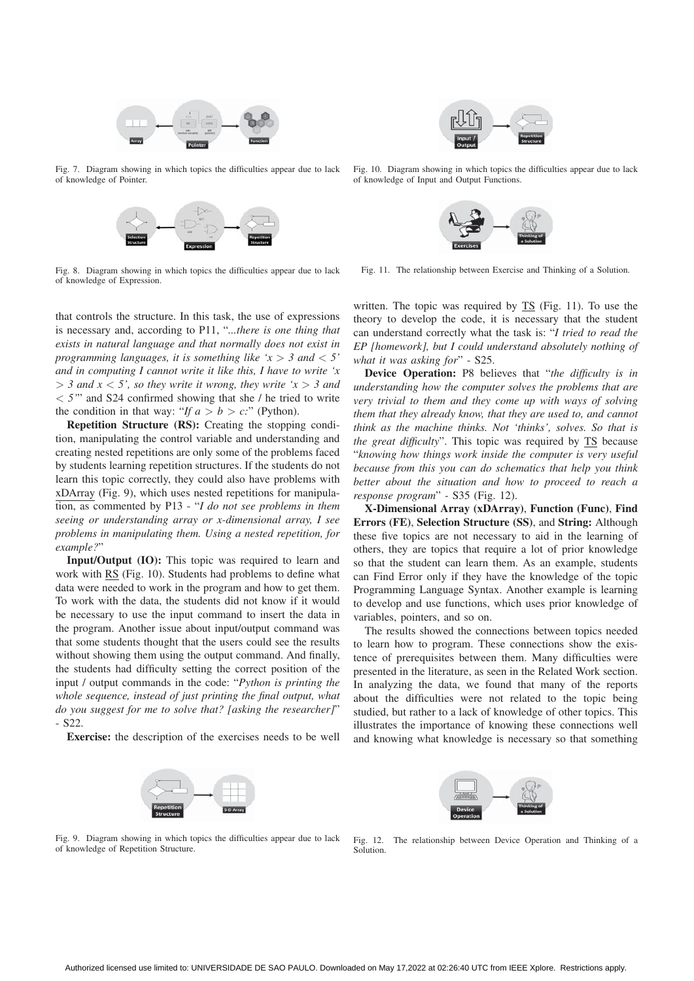

Fig. 7. Diagram showing in which topics the difficulties appear due to lack of knowledge of Pointer.



Fig. 8. Diagram showing in which topics the difficulties appear due to lack of knowledge of Expression.

that controls the structure. In this task, the use of expressions is necessary and, according to P11, "*...there is one thing that exists in natural language and that normally does not exist in programming languages, it is something like 'x* > *3 and* < *5' and in computing I cannot write it like this, I have to write 'x*  $> 3$  and  $x < 5'$ , so they write it wrong, they write ' $x > 3$  and < *5'*" and S24 confirmed showing that she / he tried to write the condition in that way: "*If*  $a > b > c$ ." (Python).

**Repetition Structure (RS):** Creating the stopping condition, manipulating the control variable and understanding and creating nested repetitions are only some of the problems faced by students learning repetition structures. If the students do not learn this topic correctly, they could also have problems with xDArray (Fig. 9), which uses nested repetitions for manipulation, as commented by P13 - "*I do not see problems in them seeing or understanding array or x-dimensional array, I see problems in manipulating them. Using a nested repetition, for example?*"

**Input/Output (IO):** This topic was required to learn and work with RS (Fig. 10). Students had problems to define what data were needed to work in the program and how to get them. To work with the data, the students did not know if it would be necessary to use the input command to insert the data in the program. Another issue about input/output command was that some students thought that the users could see the results without showing them using the output command. And finally, the students had difficulty setting the correct position of the input / output commands in the code: "*Python is printing the whole sequence, instead of just printing the final output, what do you suggest for me to solve that? [asking the researcher]*" - S22.

**Exercise:** the description of the exercises needs to be well



Fig. 10. Diagram showing in which topics the difficulties appear due to lack of knowledge of Input and Output Functions.



Fig. 11. The relationship between Exercise and Thinking of a Solution.

written. The topic was required by TS (Fig. 11). To use the theory to develop the code, it is necessary that the student can understand correctly what the task is: "*I tried to read the EP [homework], but I could understand absolutely nothing of what it was asking for*" - S25.

**Device Operation:** P8 believes that "*the difficulty is in understanding how the computer solves the problems that are very trivial to them and they come up with ways of solving them that they already know, that they are used to, and cannot think as the machine thinks. Not 'thinks', solves. So that is the great difficulty*". This topic was required by TS because "*knowing how things work inside the computer is very useful because from this you can do schematics that help you think better about the situation and how to proceed to reach a response program*" - S35 (Fig. 12).

**X-Dimensional Array (xDArray)**, **Function (Func)**, **Find Errors (FE)**, **Selection Structure (SS)**, and **String:** Although these five topics are not necessary to aid in the learning of others, they are topics that require a lot of prior knowledge so that the student can learn them. As an example, students can Find Error only if they have the knowledge of the topic Programming Language Syntax. Another example is learning to develop and use functions, which uses prior knowledge of variables, pointers, and so on.

The results showed the connections between topics needed to learn how to program. These connections show the existence of prerequisites between them. Many difficulties were presented in the literature, as seen in the Related Work section. In analyzing the data, we found that many of the reports about the difficulties were not related to the topic being studied, but rather to a lack of knowledge of other topics. This illustrates the importance of knowing these connections well and knowing what knowledge is necessary so that something





Fig. 9. Diagram showing in which topics the difficulties appear due to lack of knowledge of Repetition Structure.

Fig. 12. The relationship between Device Operation and Thinking of a Solution.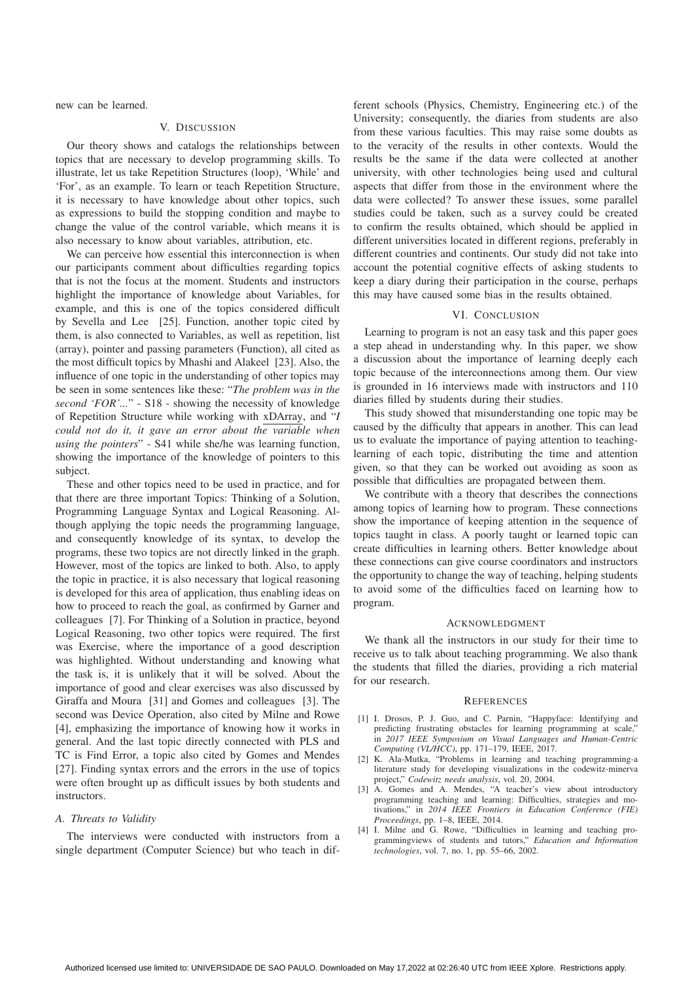new can be learned.

## V. DISCUSSION

Our theory shows and catalogs the relationships between topics that are necessary to develop programming skills. To illustrate, let us take Repetition Structures (loop), 'While' and 'For', as an example. To learn or teach Repetition Structure, it is necessary to have knowledge about other topics, such as expressions to build the stopping condition and maybe to change the value of the control variable, which means it is also necessary to know about variables, attribution, etc.

We can perceive how essential this interconnection is when our participants comment about difficulties regarding topics that is not the focus at the moment. Students and instructors highlight the importance of knowledge about Variables, for example, and this is one of the topics considered difficult by Sevella and Lee [25]. Function, another topic cited by them, is also connected to Variables, as well as repetition, list (array), pointer and passing parameters (Function), all cited as the most difficult topics by Mhashi and Alakeel [23]. Also, the influence of one topic in the understanding of other topics may be seen in some sentences like these: "*The problem was in the second 'FOR'...*" - S18 - showing the necessity of knowledge of Repetition Structure while working with xDArray, and "*I could not do it, it gave an error about the variable when using the pointers*" - S41 while she/he was learning function, showing the importance of the knowledge of pointers to this subject.

These and other topics need to be used in practice, and for that there are three important Topics: Thinking of a Solution, Programming Language Syntax and Logical Reasoning. Although applying the topic needs the programming language, and consequently knowledge of its syntax, to develop the programs, these two topics are not directly linked in the graph. However, most of the topics are linked to both. Also, to apply the topic in practice, it is also necessary that logical reasoning is developed for this area of application, thus enabling ideas on how to proceed to reach the goal, as confirmed by Garner and colleagues [7]. For Thinking of a Solution in practice, beyond Logical Reasoning, two other topics were required. The first was Exercise, where the importance of a good description was highlighted. Without understanding and knowing what the task is, it is unlikely that it will be solved. About the importance of good and clear exercises was also discussed by Giraffa and Moura [31] and Gomes and colleagues [3]. The second was Device Operation, also cited by Milne and Rowe [4], emphasizing the importance of knowing how it works in general. And the last topic directly connected with PLS and TC is Find Error, a topic also cited by Gomes and Mendes [27]. Finding syntax errors and the errors in the use of topics were often brought up as difficult issues by both students and instructors.

### *A. Threats to Validity*

The interviews were conducted with instructors from a single department (Computer Science) but who teach in dif-

ferent schools (Physics, Chemistry, Engineering etc.) of the University; consequently, the diaries from students are also from these various faculties. This may raise some doubts as to the veracity of the results in other contexts. Would the results be the same if the data were collected at another university, with other technologies being used and cultural aspects that differ from those in the environment where the data were collected? To answer these issues, some parallel studies could be taken, such as a survey could be created to confirm the results obtained, which should be applied in different universities located in different regions, preferably in different countries and continents. Our study did not take into account the potential cognitive effects of asking students to keep a diary during their participation in the course, perhaps this may have caused some bias in the results obtained.

## VI. CONCLUSION

Learning to program is not an easy task and this paper goes a step ahead in understanding why. In this paper, we show a discussion about the importance of learning deeply each topic because of the interconnections among them. Our view is grounded in 16 interviews made with instructors and 110 diaries filled by students during their studies.

This study showed that misunderstanding one topic may be caused by the difficulty that appears in another. This can lead us to evaluate the importance of paying attention to teachinglearning of each topic, distributing the time and attention given, so that they can be worked out avoiding as soon as possible that difficulties are propagated between them.

We contribute with a theory that describes the connections among topics of learning how to program. These connections show the importance of keeping attention in the sequence of topics taught in class. A poorly taught or learned topic can create difficulties in learning others. Better knowledge about these connections can give course coordinators and instructors the opportunity to change the way of teaching, helping students to avoid some of the difficulties faced on learning how to program.

#### ACKNOWLEDGMENT

We thank all the instructors in our study for their time to receive us to talk about teaching programming. We also thank the students that filled the diaries, providing a rich material for our research.

#### **REFERENCES**

- [1] I. Drosos, P. J. Guo, and C. Parnin, "Happyface: Identifying and predicting frustrating obstacles for learning programming at scale," in *2017 IEEE Symposium on Visual Languages and Human-Centric Computing (VL/HCC)*, pp. 171–179, IEEE, 2017.
- [2] K. Ala-Mutka, "Problems in learning and teaching programming-a literature study for developing visualizations in the codewitz-minerva project," *Codewitz needs analysis*, vol. 20, 2004.
- [3] A. Gomes and A. Mendes, "A teacher's view about introductory programming teaching and learning: Difficulties, strategies and motivations," in *2014 IEEE Frontiers in Education Conference (FIE) Proceedings*, pp. 1–8, IEEE, 2014.
- [4] I. Milne and G. Rowe, "Difficulties in learning and teaching programmingviews of students and tutors," *Education and Information technologies*, vol. 7, no. 1, pp. 55–66, 2002.